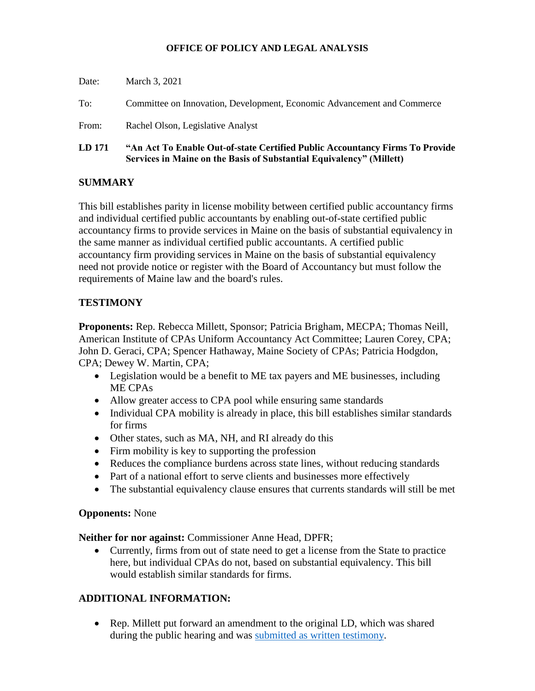### **OFFICE OF POLICY AND LEGAL ANALYSIS**

| LD 171 | "An Act To Enable Out-of-state Certified Public Accountancy Firms To Provide<br>Services in Maine on the Basis of Substantial Equivalency" (Millett) |
|--------|------------------------------------------------------------------------------------------------------------------------------------------------------|
| From:  | Rachel Olson, Legislative Analyst                                                                                                                    |
| To:    | Committee on Innovation, Development, Economic Advancement and Commerce                                                                              |
| Date:  | March 3, 2021                                                                                                                                        |

## **SUMMARY**

This bill establishes parity in license mobility between certified public accountancy firms and individual certified public accountants by enabling out-of-state certified public accountancy firms to provide services in Maine on the basis of substantial equivalency in the same manner as individual certified public accountants. A certified public accountancy firm providing services in Maine on the basis of substantial equivalency need not provide notice or register with the Board of Accountancy but must follow the requirements of Maine law and the board's rules.

## **TESTIMONY**

**Proponents:** Rep. Rebecca Millett, Sponsor; Patricia Brigham, MECPA; Thomas Neill, American Institute of CPAs Uniform Accountancy Act Committee; Lauren Corey, CPA; John D. Geraci, CPA; Spencer Hathaway, Maine Society of CPAs; Patricia Hodgdon, CPA; Dewey W. Martin, CPA;

- Legislation would be a benefit to ME tax payers and ME businesses, including ME CPAs
- Allow greater access to CPA pool while ensuring same standards
- Individual CPA mobility is already in place, this bill establishes similar standards for firms
- Other states, such as MA, NH, and RI already do this
- Firm mobility is key to supporting the profession
- Reduces the compliance burdens across state lines, without reducing standards
- Part of a national effort to serve clients and businesses more effectively
- The substantial equivalency clause ensures that currents standards will still be met

## **Opponents:** None

**Neither for nor against:** Commissioner Anne Head, DPFR;

• Currently, firms from out of state need to get a license from the State to practice here, but individual CPAs do not, based on substantial equivalency. This bill would establish similar standards for firms.

# **ADDITIONAL INFORMATION:**

• Rep. Millett put forward an amendment to the original LD, which was shared during the public hearing and was [submitted as written testimony.](http://www.mainelegislature.org/legis/bills/getTestimonyDoc.asp?id=143718)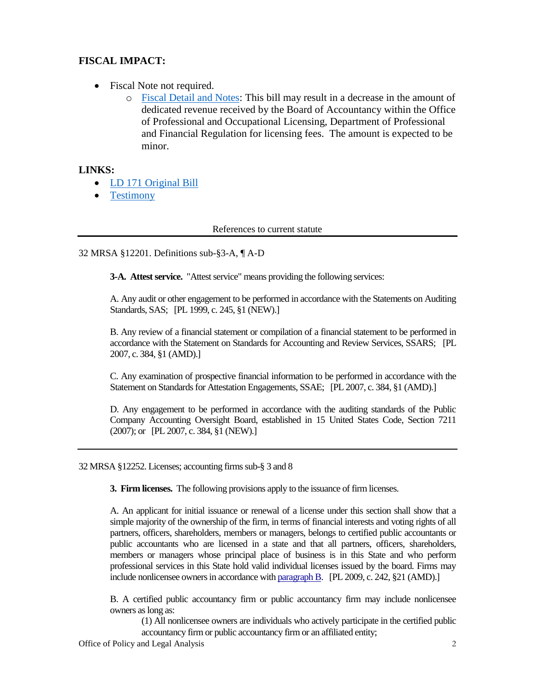## **FISCAL IMPACT:**

- Fiscal Note not required.
	- o [Fiscal Detail and Notes:](http://www.mainelegislature.org/legis/bills/bills_130th/fiscalpdfs/FN017101.pdf) This bill may result in a decrease in the amount of dedicated revenue received by the Board of Accountancy within the Office of Professional and Occupational Licensing, Department of Professional and Financial Regulation for licensing fees. The amount is expected to be minor.

### **LINKS:**

- [LD 171 Original Bill](http://www.mainelegislature.org/legis/bills/getPDF.asp?paper=HP0124&item=1&snum=130)
- [Testimony](http://www.mainelegislature.org/legis/bills/display_ps.asp?ld=171&PID=1456&snum=130)

References to current statute

#### 32 MRSA §12201. Definitions sub-§3-A, ¶ A-D

**3-A. Attest service.** "Attest service" means providing the following services:

A. Any audit or other engagement to be performed in accordance with the Statements on Auditing Standards, SAS; [PL 1999, c. 245, §1 (NEW).]

B. Any review of a financial statement or compilation of a financial statement to be performed in accordance with the Statement on Standards for Accounting and Review Services, SSARS; [PL 2007, c. 384, §1 (AMD).]

C. Any examination of prospective financial information to be performed in accordance with the Statement on Standards for Attestation Engagements, SSAE; [PL 2007, c. 384, §1 (AMD).]

D. Any engagement to be performed in accordance with the auditing standards of the Public Company Accounting Oversight Board, established in 15 United States Code, Section 7211 (2007); or [PL 2007, c. 384, §1 (NEW).]

32 MRSA §12252. Licenses; accounting firms sub-§ 3 and 8

**3. Firm licenses.** The following provisions apply to the issuance of firm licenses.

A. An applicant for initial issuance or renewal of a license under this section shall show that a simple majority of the ownership of the firm, in terms of financial interests and voting rights of all partners, officers, shareholders, members or managers, belongs to certified public accountants or public accountants who are licensed in a state and that all partners, officers, shareholders, members or managers whose principal place of business is in this State and who perform professional services in this State hold valid individual licenses issued by the board. Firms may include nonlicensee owners in accordance wit[h paragraph B.](http://legislature.maine.gov/legis/statutes/32/title32sec12252.html) [PL 2009, c. 242, §21 (AMD).]

B. A certified public accountancy firm or public accountancy firm may include nonlicensee owners as long as:

(1) All nonlicensee owners are individuals who actively participate in the certified public accountancy firm or public accountancy firm or an affiliated entity;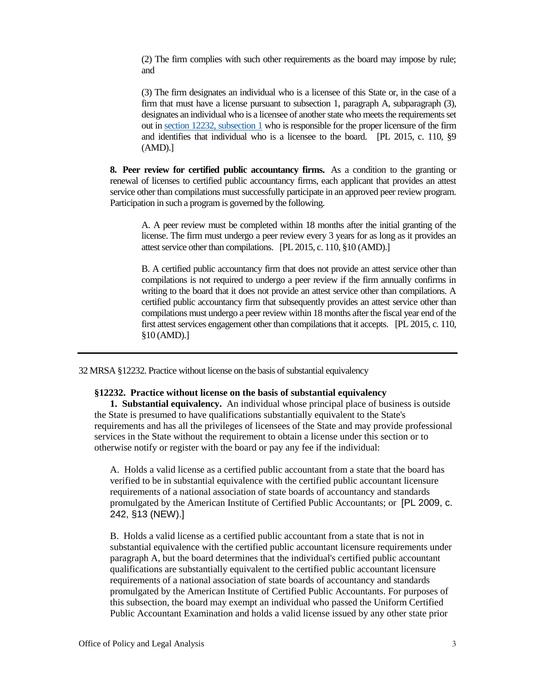(2) The firm complies with such other requirements as the board may impose by rule; and

(3) The firm designates an individual who is a licensee of this State or, in the case of a firm that must have a license pursuant to subsection 1, paragraph A, subparagraph (3), designates an individual who is a licensee of another state who meets the requirements set out in [section 12232, subsection 1](http://legislature.maine.gov/legis/statutes/32/title32sec12232.html) who is responsible for the proper licensure of the firm and identifies that individual who is a licensee to the board. [PL 2015, c. 110, §9 (AMD).]

**8. Peer review for certified public accountancy firms.** As a condition to the granting or renewal of licenses to certified public accountancy firms, each applicant that provides an attest service other than compilations must successfully participate in an approved peer review program. Participation in such a program is governed by the following.

A. A peer review must be completed within 18 months after the initial granting of the license. The firm must undergo a peer review every 3 years for as long as it provides an attest service other than compilations. [PL 2015, c. 110, §10 (AMD).]

B. A certified public accountancy firm that does not provide an attest service other than compilations is not required to undergo a peer review if the firm annually confirms in writing to the board that it does not provide an attest service other than compilations. A certified public accountancy firm that subsequently provides an attest service other than compilations must undergo a peer review within 18 months after the fiscal year end of the first attest services engagement other than compilations that it accepts. [PL 2015, c. 110, §10 (AMD).]

32 MRSA §12232. Practice without license on the basis of substantial equivalency

#### **§12232. Practice without license on the basis of substantial equivalency**

**1. Substantial equivalency.** An individual whose principal place of business is outside the State is presumed to have qualifications substantially equivalent to the State's requirements and has all the privileges of licensees of the State and may provide professional services in the State without the requirement to obtain a license under this section or to otherwise notify or register with the board or pay any fee if the individual:

A. Holds a valid license as a certified public accountant from a state that the board has verified to be in substantial equivalence with the certified public accountant licensure requirements of a national association of state boards of accountancy and standards promulgated by the American Institute of Certified Public Accountants; or [PL 2009, c. 242, §13 (NEW).]

B. Holds a valid license as a certified public accountant from a state that is not in substantial equivalence with the certified public accountant licensure requirements under paragraph A, but the board determines that the individual's certified public accountant qualifications are substantially equivalent to the certified public accountant licensure requirements of a national association of state boards of accountancy and standards promulgated by the American Institute of Certified Public Accountants. For purposes of this subsection, the board may exempt an individual who passed the Uniform Certified Public Accountant Examination and holds a valid license issued by any other state prior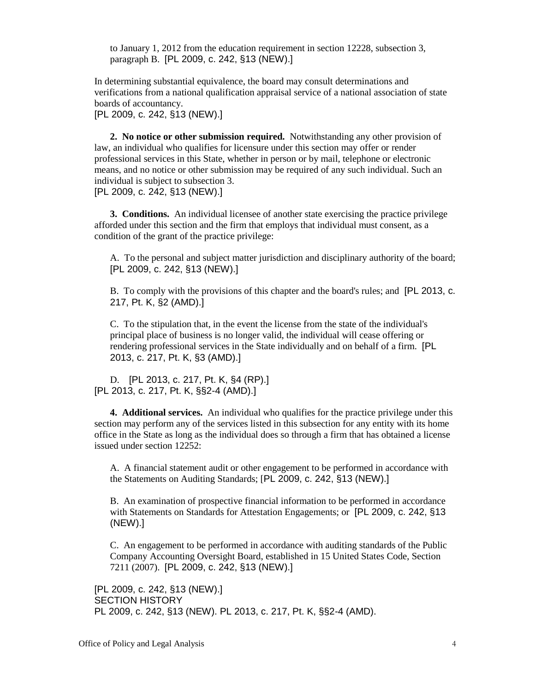to January 1, 2012 from the education requirement in section 12228, subsection 3, paragraph B. [PL 2009, c. 242, §13 (NEW).]

In determining substantial equivalence, the board may consult determinations and verifications from a national qualification appraisal service of a national association of state boards of accountancy.

[PL 2009, c. 242, §13 (NEW).]

**2. No notice or other submission required.** Notwithstanding any other provision of law, an individual who qualifies for licensure under this section may offer or render professional services in this State, whether in person or by mail, telephone or electronic means, and no notice or other submission may be required of any such individual. Such an individual is subject to subsection 3. [PL 2009, c. 242, §13 (NEW).]

**3. Conditions.** An individual licensee of another state exercising the practice privilege afforded under this section and the firm that employs that individual must consent, as a condition of the grant of the practice privilege:

A. To the personal and subject matter jurisdiction and disciplinary authority of the board; [PL 2009, c. 242, §13 (NEW).]

B. To comply with the provisions of this chapter and the board's rules; and [PL 2013, c. 217, Pt. K, §2 (AMD).]

C. To the stipulation that, in the event the license from the state of the individual's principal place of business is no longer valid, the individual will cease offering or rendering professional services in the State individually and on behalf of a firm. [PL 2013, c. 217, Pt. K, §3 (AMD).]

D. [PL 2013, c. 217, Pt. K, §4 (RP).] [PL 2013, c. 217, Pt. K, §§2-4 (AMD).]

**4. Additional services.** An individual who qualifies for the practice privilege under this section may perform any of the services listed in this subsection for any entity with its home office in the State as long as the individual does so through a firm that has obtained a license issued under section 12252:

A. A financial statement audit or other engagement to be performed in accordance with the Statements on Auditing Standards; [PL 2009, c. 242, §13 (NEW).]

B. An examination of prospective financial information to be performed in accordance with Statements on Standards for Attestation Engagements; or [PL 2009, c. 242, §13 (NEW).]

C. An engagement to be performed in accordance with auditing standards of the Public Company Accounting Oversight Board, established in 15 United States Code, Section 7211 (2007). [PL 2009, c. 242, §13 (NEW).]

[PL 2009, c. 242, §13 (NEW).] SECTION HISTORY PL 2009, c. 242, §13 (NEW). PL 2013, c. 217, Pt. K, §§2-4 (AMD).